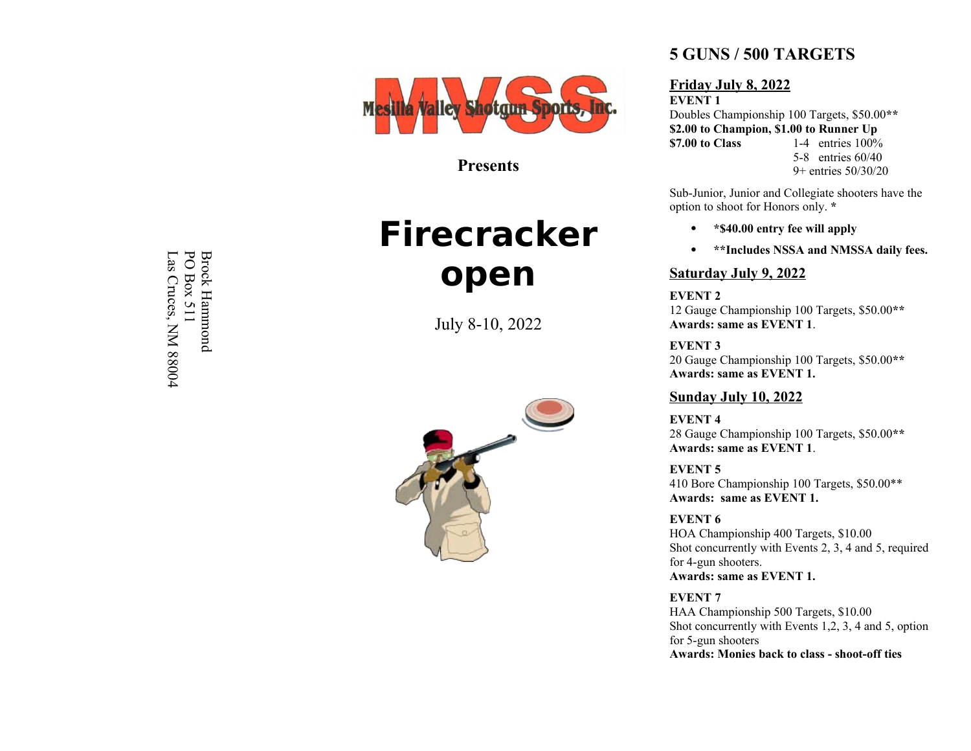

**Presents**

# **Firecracker open**

July 8-10, 2022



## **5 GUNS / 500 TARGETS**

### **Friday July 8, 2022**

**EVENT 1** Doubles Championship 100 Targets, \$50.00**\*\* \$2.00 to Champion, \$1.00 to Runner Up \$7.00 to Class** 1-4 entries 100% 5-8 entries 60/40 9+ entries 50/30/20

Sub-Junior, Junior and Collegiate shooters have the option to shoot for Honors only. **\***

- · **\*\$40.00 entry fee will apply**
- · **\*\*Includes NSSA and NMSSA daily fees.**

## **Saturday July 9, 2022**

**EVENT 2** 12 Gauge Championship 100 Targets, \$50.00**\*\* Awards: same as EVENT 1** .

**EVENT 3** 20 Gauge Championship 100 Targets, \$50.00**\*\* Awards: same as EVENT 1.**

## **Sunday July 10, 2022**

**EVENT 4** 28 Gauge Championship 100 Targets, \$50.00**\*\* Awards: same as EVENT 1** .

**EVENT 5** 410 Bore Championship 100 Targets, \$50.00\*\* **Awards: same as EVENT 1.**

**EVENT 6** HOA Championship 400 Targets, \$10.00 Shot concurrently with Events 2, 3, 4 and 5, required for 4-gun shooters.

**Awards: same as EVENT 1.**

**EVENT 7** HAA Championship 500 Targets, \$10.00 Shot concurrently with Events 1,2, 3, 4 and 5, option for 5-gun shooters **Awards: Monies back to class - shoot-off ties**

Brock<br>PO Bo Hammond Box 511  $L_{\rm dS}$ Cruces,  $\breve{\mathsf{K}}$ 88004